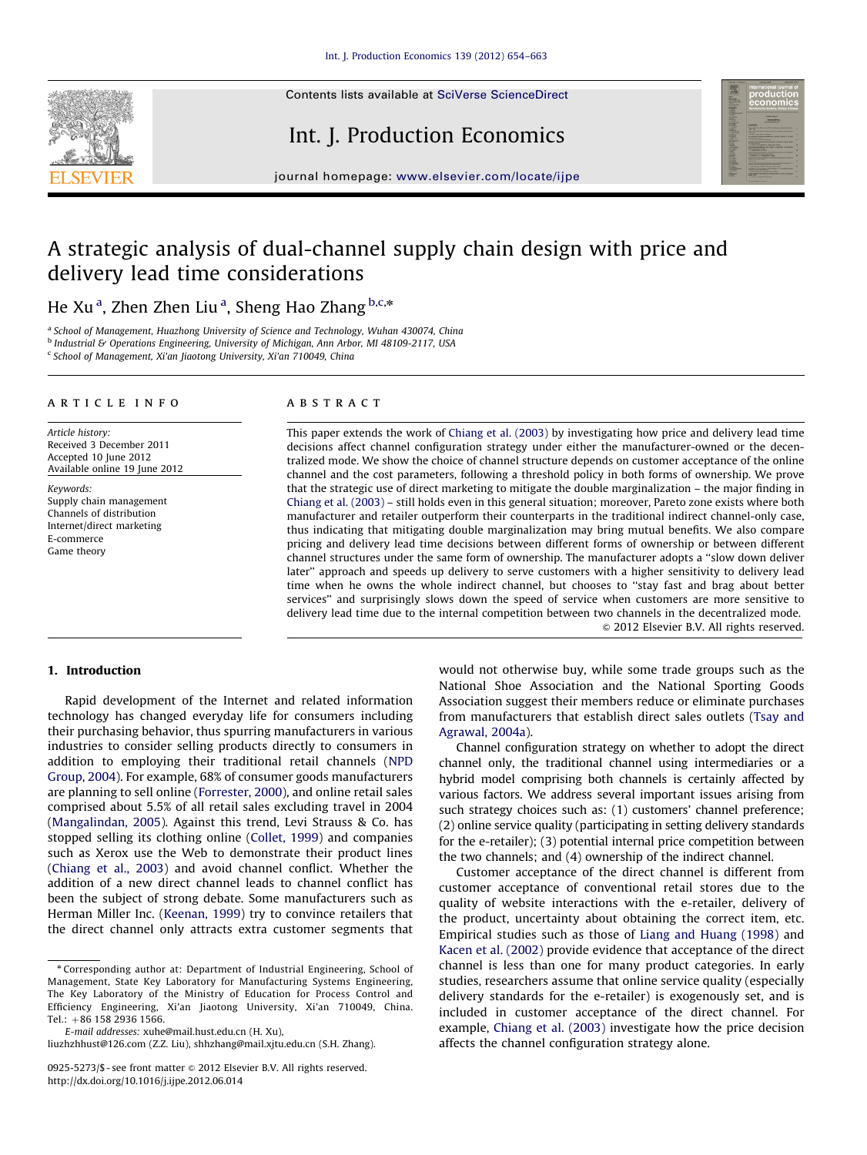

### Int. J. Production Economics



journal homepage: <www.elsevier.com/locate/ijpe>

## A strategic analysis of dual-channel supply chain design with price and delivery lead time considerations

He Xu<sup>a</sup>, Zhen Zhen Liu<sup>a</sup>, Sheng Hao Zhang <sup>b,c,</sup>\*

<sup>a</sup> School of Management, Huazhong University of Science and Technology, Wuhan 430074, China <sup>b</sup> Industrial & Operations Engineering, University of Michigan, Ann Arbor, MI 48109-2117, USA

<sup>c</sup> School of Management, Xi'an Jiaotong University, Xi'an 710049, China

#### article info

Article history: Received 3 December 2011 Accepted 10 June 2012 Available online 19 June 2012

Keywords: Supply chain management Channels of distribution Internet/direct marketing E-commerce Game theory

#### **ABSTRACT**

This paper extends the work of [Chiang et al. \(2003\)](#page--1-0) by investigating how price and delivery lead time decisions affect channel configuration strategy under either the manufacturer-owned or the decentralized mode. We show the choice of channel structure depends on customer acceptance of the online channel and the cost parameters, following a threshold policy in both forms of ownership. We prove that the strategic use of direct marketing to mitigate the double marginalization – the major finding in [Chiang et al. \(2003\)](#page--1-0) – still holds even in this general situation; moreover, Pareto zone exists where both manufacturer and retailer outperform their counterparts in the traditional indirect channel-only case, thus indicating that mitigating double marginalization may bring mutual benefits. We also compare pricing and delivery lead time decisions between different forms of ownership or between different channel structures under the same form of ownership. The manufacturer adopts a ''slow down deliver later'' approach and speeds up delivery to serve customers with a higher sensitivity to delivery lead time when he owns the whole indirect channel, but chooses to ''stay fast and brag about better services'' and surprisingly slows down the speed of service when customers are more sensitive to delivery lead time due to the internal competition between two channels in the decentralized mode.  $\odot$  2012 Elsevier B.V. All rights reserved.

#### 1. Introduction

Rapid development of the Internet and related information technology has changed everyday life for consumers including their purchasing behavior, thus spurring manufacturers in various industries to consider selling products directly to consumers in addition to employing their traditional retail channels [\(NPD](#page--1-0) [Group, 2004\)](#page--1-0). For example, 68% of consumer goods manufacturers are planning to sell online [\(Forrester, 2000\)](#page--1-0), and online retail sales comprised about 5.5% of all retail sales excluding travel in 2004 ([Mangalindan, 2005\)](#page--1-0). Against this trend, Levi Strauss & Co. has stopped selling its clothing online [\(Collet, 1999\)](#page--1-0) and companies such as Xerox use the Web to demonstrate their product lines ([Chiang et al., 2003\)](#page--1-0) and avoid channel conflict. Whether the addition of a new direct channel leads to channel conflict has been the subject of strong debate. Some manufacturers such as Herman Miller Inc. ([Keenan, 1999](#page--1-0)) try to convince retailers that the direct channel only attracts extra customer segments that would not otherwise buy, while some trade groups such as the National Shoe Association and the National Sporting Goods Association suggest their members reduce or eliminate purchases from manufacturers that establish direct sales outlets [\(Tsay and](#page--1-0) [Agrawal, 2004a](#page--1-0)).

Channel configuration strategy on whether to adopt the direct channel only, the traditional channel using intermediaries or a hybrid model comprising both channels is certainly affected by various factors. We address several important issues arising from such strategy choices such as: (1) customers' channel preference; (2) online service quality (participating in setting delivery standards for the e-retailer); (3) potential internal price competition between the two channels; and (4) ownership of the indirect channel.

Customer acceptance of the direct channel is different from customer acceptance of conventional retail stores due to the quality of website interactions with the e-retailer, delivery of the product, uncertainty about obtaining the correct item, etc. Empirical studies such as those of [Liang and Huang \(1998\)](#page--1-0) and [Kacen et al. \(2002\)](#page--1-0) provide evidence that acceptance of the direct channel is less than one for many product categories. In early studies, researchers assume that online service quality (especially delivery standards for the e-retailer) is exogenously set, and is included in customer acceptance of the direct channel. For example, [Chiang et al. \(2003\)](#page--1-0) investigate how the price decision affects the channel configuration strategy alone.

<sup>n</sup> Corresponding author at: Department of Industrial Engineering, School of Management, State Key Laboratory for Manufacturing Systems Engineering, The Key Laboratory of the Ministry of Education for Process Control and Efficiency Engineering, Xi'an Jiaotong University, Xi'an 710049, China. Tel.:  $+86$  158 2936 1566.

E-mail addresses: [xuhe@mail.hust.edu.cn \(H. Xu\)](mailto:xuhe@mail.hust.edu.cn),

[liuzhzhhust@126.com \(Z.Z. Liu\),](mailto:liuzhzhhust@126.com) [shhzhang@mail.xjtu.edu.cn \(S.H. Zhang\).](mailto:shhzhang@mail.xjtu.edu.cn)

<sup>0925-5273/\$ -</sup> see front matter @ 2012 Elsevier B.V. All rights reserved. [http://dx.doi.org/10.1016/j.ijpe.2012.06.014](dx.doi.org/10.1016/j.ijpe.2012.06.014)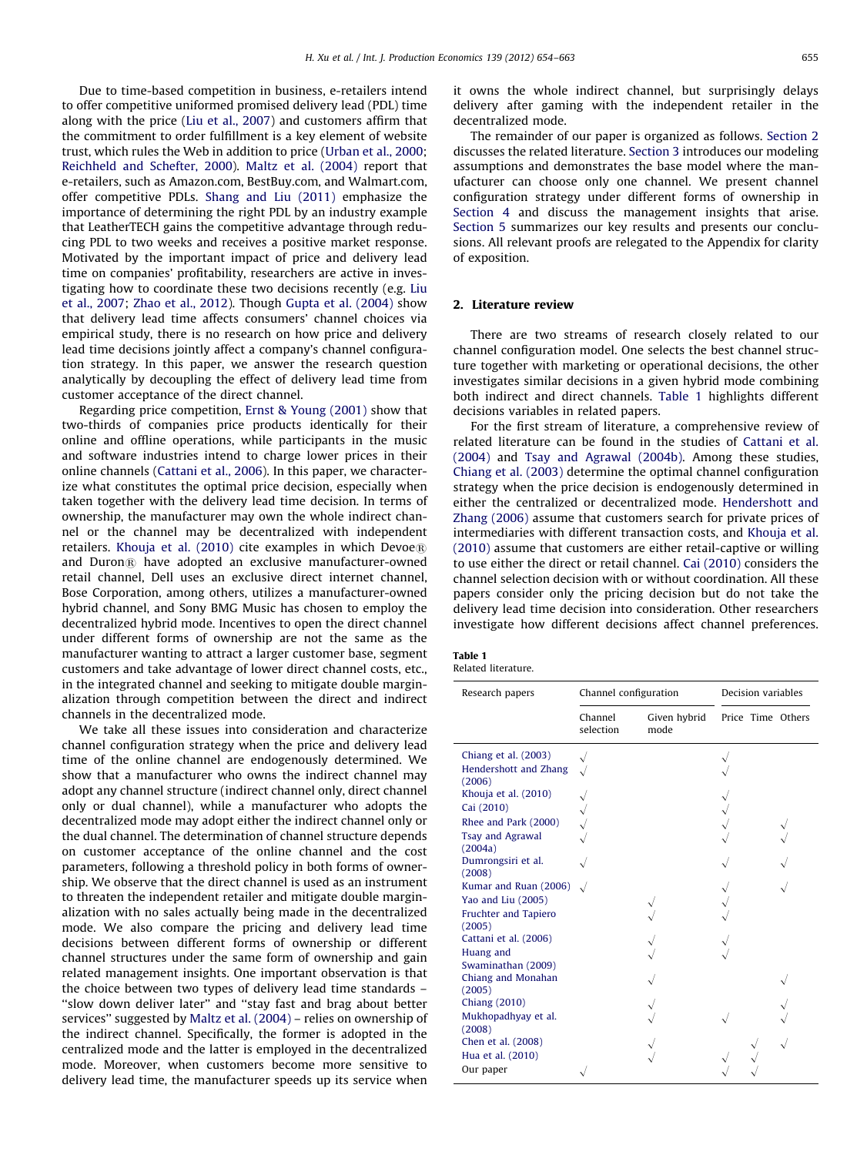Due to time-based competition in business, e-retailers intend to offer competitive uniformed promised delivery lead (PDL) time along with the price ([Liu et al., 2007\)](#page--1-0) and customers affirm that the commitment to order fulfillment is a key element of website trust, which rules the Web in addition to price ([Urban et al., 2000;](#page--1-0) [Reichheld and Schefter, 2000\)](#page--1-0). [Maltz et al. \(2004\)](#page--1-0) report that e-retailers, such as Amazon.com, BestBuy.com, and Walmart.com, offer competitive PDLs. [Shang and Liu \(2011\)](#page--1-0) emphasize the importance of determining the right PDL by an industry example that LeatherTECH gains the competitive advantage through reducing PDL to two weeks and receives a positive market response. Motivated by the important impact of price and delivery lead time on companies' profitability, researchers are active in investigating how to coordinate these two decisions recently (e.g. [Liu](#page--1-0) [et al., 2007;](#page--1-0) [Zhao et al., 2012\)](#page--1-0). Though [Gupta et al. \(2004\)](#page--1-0) show that delivery lead time affects consumers' channel choices via empirical study, there is no research on how price and delivery lead time decisions jointly affect a company's channel configuration strategy. In this paper, we answer the research question analytically by decoupling the effect of delivery lead time from customer acceptance of the direct channel.

Regarding price competition, [Ernst](#page--1-0) [& Young \(2001\)](#page--1-0) show that two-thirds of companies price products identically for their online and offline operations, while participants in the music and software industries intend to charge lower prices in their online channels [\(Cattani et al., 2006](#page--1-0)). In this paper, we characterize what constitutes the optimal price decision, especially when taken together with the delivery lead time decision. In terms of ownership, the manufacturer may own the whole indirect channel or the channel may be decentralized with independent retailers. [Khouja et al. \(2010\)](#page--1-0) cite examples in which Devoe $\mathbb R$ and Duron $\widehat{\mathbb{R}}$  have adopted an exclusive manufacturer-owned retail channel, Dell uses an exclusive direct internet channel, Bose Corporation, among others, utilizes a manufacturer-owned hybrid channel, and Sony BMG Music has chosen to employ the decentralized hybrid mode. Incentives to open the direct channel under different forms of ownership are not the same as the manufacturer wanting to attract a larger customer base, segment customers and take advantage of lower direct channel costs, etc., in the integrated channel and seeking to mitigate double marginalization through competition between the direct and indirect channels in the decentralized mode.

We take all these issues into consideration and characterize channel configuration strategy when the price and delivery lead time of the online channel are endogenously determined. We show that a manufacturer who owns the indirect channel may adopt any channel structure (indirect channel only, direct channel only or dual channel), while a manufacturer who adopts the decentralized mode may adopt either the indirect channel only or the dual channel. The determination of channel structure depends on customer acceptance of the online channel and the cost parameters, following a threshold policy in both forms of ownership. We observe that the direct channel is used as an instrument to threaten the independent retailer and mitigate double marginalization with no sales actually being made in the decentralized mode. We also compare the pricing and delivery lead time decisions between different forms of ownership or different channel structures under the same form of ownership and gain related management insights. One important observation is that the choice between two types of delivery lead time standards – ''slow down deliver later'' and ''stay fast and brag about better services'' suggested by [Maltz et al. \(2004\)](#page--1-0) – relies on ownership of the indirect channel. Specifically, the former is adopted in the centralized mode and the latter is employed in the decentralized mode. Moreover, when customers become more sensitive to delivery lead time, the manufacturer speeds up its service when

it owns the whole indirect channel, but surprisingly delays delivery after gaming with the independent retailer in the decentralized mode.

The remainder of our paper is organized as follows. Section 2 discusses the related literature. [Section 3](#page--1-0) introduces our modeling assumptions and demonstrates the base model where the manufacturer can choose only one channel. We present channel configuration strategy under different forms of ownership in [Section 4](#page--1-0) and discuss the management insights that arise. [Section 5](#page--1-0) summarizes our key results and presents our conclusions. All relevant proofs are relegated to the Appendix for clarity of exposition.

#### 2. Literature review

There are two streams of research closely related to our channel configuration model. One selects the best channel structure together with marketing or operational decisions, the other investigates similar decisions in a given hybrid mode combining both indirect and direct channels. Table 1 highlights different decisions variables in related papers.

For the first stream of literature, a comprehensive review of related literature can be found in the studies of [Cattani et al.](#page--1-0) [\(2004\)](#page--1-0) and [Tsay and Agrawal \(2004b\).](#page--1-0) Among these studies, [Chiang et al. \(2003\)](#page--1-0) determine the optimal channel configuration strategy when the price decision is endogenously determined in either the centralized or decentralized mode. [Hendershott and](#page--1-0) [Zhang \(2006\)](#page--1-0) assume that customers search for private prices of intermediaries with different transaction costs, and [Khouja et al.](#page--1-0) [\(2010\)](#page--1-0) assume that customers are either retail-captive or willing to use either the direct or retail channel. [Cai \(2010\)](#page--1-0) considers the channel selection decision with or without coordination. All these papers consider only the pricing decision but do not take the delivery lead time decision into consideration. Other researchers investigate how different decisions affect channel preferences.

| Research papers                               | Channel configuration |                      | Decision variables |  |
|-----------------------------------------------|-----------------------|----------------------|--------------------|--|
|                                               | Channel<br>selection  | Given hybrid<br>mode | Price Time Others  |  |
| Chiang et al. (2003)<br>Hendershott and Zhang |                       |                      |                    |  |
| (2006)<br>Khouja et al. (2010)<br>Cai (2010)  |                       |                      |                    |  |
| Rhee and Park (2000)                          |                       |                      |                    |  |
| <b>Tsay and Agrawal</b><br>(2004a)            |                       |                      |                    |  |
| Dumrongsiri et al.<br>(2008)                  |                       |                      |                    |  |
| Kumar and Ruan (2006)                         |                       |                      |                    |  |
| Yao and Liu (2005)                            |                       |                      |                    |  |
| <b>Fruchter and Tapiero</b><br>(2005)         |                       |                      |                    |  |
| Cattani et al. (2006)                         |                       |                      |                    |  |
| Huang and<br>Swaminathan (2009)               |                       |                      |                    |  |
| Chiang and Monahan<br>(2005)                  |                       |                      |                    |  |
| <b>Chiang (2010)</b>                          |                       |                      |                    |  |
| Mukhopadhyay et al.<br>(2008)                 |                       |                      |                    |  |
| Chen et al. (2008)                            |                       |                      |                    |  |
| Hua et al. (2010)                             |                       |                      |                    |  |
| Our paper                                     |                       |                      |                    |  |